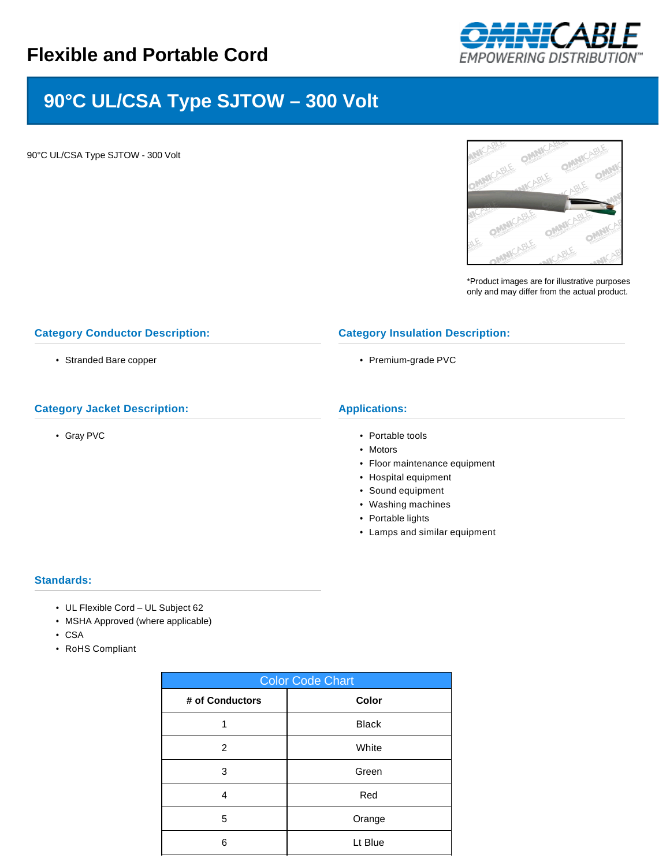

# **90°C UL/CSA Type SJTOW – 300 Volt**

90°C UL/CSA Type SJTOW - 300 Volt



\*Product images are for illustrative purposes only and may differ from the actual product.

## **Category Conductor Description:**

• Stranded Bare copper

## **Category Jacket Description:**

• Gray PVC

#### **Category Insulation Description:**

• Premium-grade PVC

# **Applications:**

- Portable tools
- Motors
- Floor maintenance equipment
- Hospital equipment
- Sound equipment
- Washing machines
- Portable lights
- Lamps and similar equipment

#### **Standards:**

- UL Flexible Cord UL Subject 62
- MSHA Approved (where applicable)
- CSA
- RoHS Compliant

| <b>Color Code Chart</b> |              |  |  |  |
|-------------------------|--------------|--|--|--|
| # of Conductors         | Color        |  |  |  |
|                         | <b>Black</b> |  |  |  |
| 2                       | White        |  |  |  |
| 3                       | Green        |  |  |  |
| 4                       | Red          |  |  |  |
| 5                       | Orange       |  |  |  |
| 6                       | Lt Blue      |  |  |  |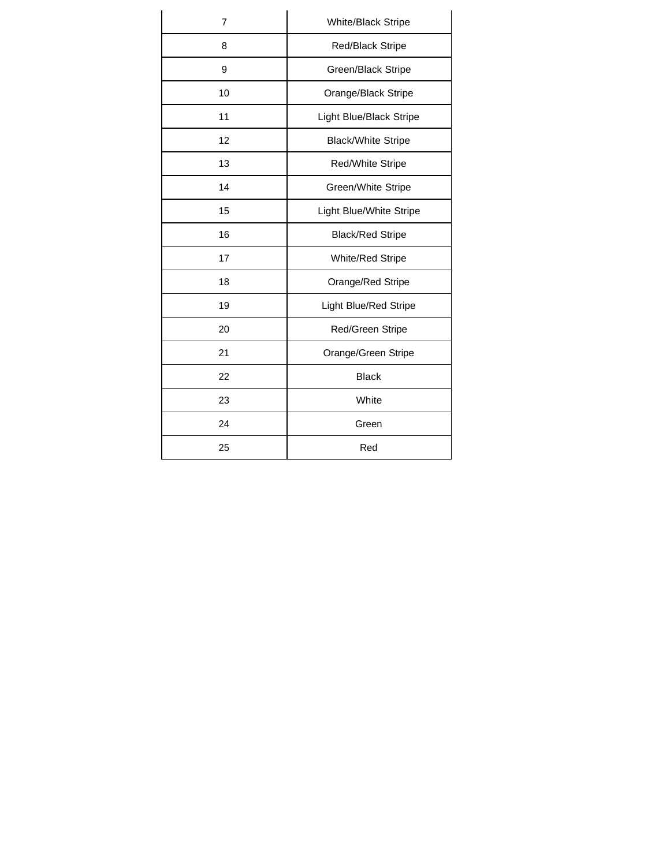| 7  | White/Black Stripe        |  |  |  |
|----|---------------------------|--|--|--|
| 8  | <b>Red/Black Stripe</b>   |  |  |  |
| 9  | Green/Black Stripe        |  |  |  |
| 10 | Orange/Black Stripe       |  |  |  |
| 11 | Light Blue/Black Stripe   |  |  |  |
| 12 | <b>Black/White Stripe</b> |  |  |  |
| 13 | Red/White Stripe          |  |  |  |
| 14 | Green/White Stripe        |  |  |  |
| 15 | Light Blue/White Stripe   |  |  |  |
| 16 | <b>Black/Red Stripe</b>   |  |  |  |
| 17 | White/Red Stripe          |  |  |  |
| 18 | Orange/Red Stripe         |  |  |  |
| 19 | Light Blue/Red Stripe     |  |  |  |
| 20 | Red/Green Stripe          |  |  |  |
| 21 | Orange/Green Stripe       |  |  |  |
| 22 | <b>Black</b>              |  |  |  |
| 23 | White                     |  |  |  |
| 24 | Green                     |  |  |  |
| 25 | Red                       |  |  |  |